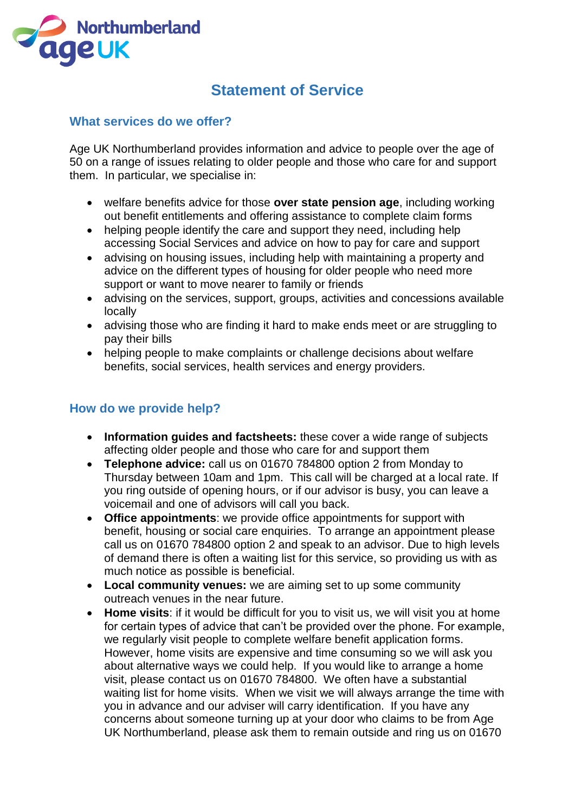

# **Statement of Service**

## **What services do we offer?**

Age UK Northumberland provides information and advice to people over the age of 50 on a range of issues relating to older people and those who care for and support them. In particular, we specialise in:

- welfare benefits advice for those **over state pension age**, including working out benefit entitlements and offering assistance to complete claim forms
- helping people identify the care and support they need, including help accessing Social Services and advice on how to pay for care and support
- advising on housing issues, including help with maintaining a property and advice on the different types of housing for older people who need more support or want to move nearer to family or friends
- advising on the services, support, groups, activities and concessions available locally
- advising those who are finding it hard to make ends meet or are struggling to pay their bills
- helping people to make complaints or challenge decisions about welfare benefits, social services, health services and energy providers.

## **How do we provide help?**

- **Information guides and factsheets:** these cover a wide range of subjects affecting older people and those who care for and support them
- **Telephone advice:** call us on 01670 784800 option 2 from Monday to Thursday between 10am and 1pm. This call will be charged at a local rate. If you ring outside of opening hours, or if our advisor is busy, you can leave a voicemail and one of advisors will call you back.
- **Office appointments**: we provide office appointments for support with benefit, housing or social care enquiries. To arrange an appointment please call us on 01670 784800 option 2 and speak to an advisor. Due to high levels of demand there is often a waiting list for this service, so providing us with as much notice as possible is beneficial.
- **Local community venues:** we are aiming set to up some community outreach venues in the near future.
- **Home visits**: if it would be difficult for you to visit us, we will visit you at home for certain types of advice that can't be provided over the phone. For example, we regularly visit people to complete welfare benefit application forms. However, home visits are expensive and time consuming so we will ask you about alternative ways we could help. If you would like to arrange a home visit, please contact us on 01670 784800. We often have a substantial waiting list for home visits. When we visit we will always arrange the time with you in advance and our adviser will carry identification. If you have any concerns about someone turning up at your door who claims to be from Age UK Northumberland, please ask them to remain outside and ring us on 01670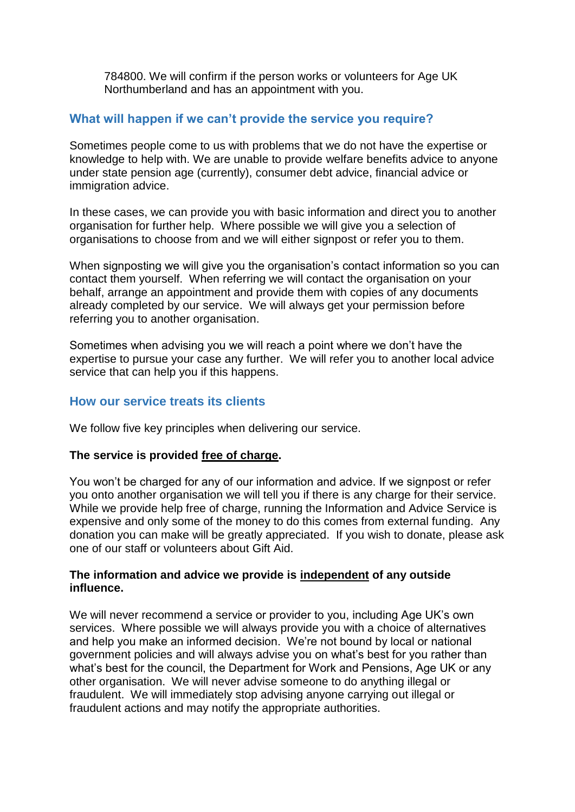784800. We will confirm if the person works or volunteers for Age UK Northumberland and has an appointment with you.

## **What will happen if we can't provide the service you require?**

Sometimes people come to us with problems that we do not have the expertise or knowledge to help with. We are unable to provide welfare benefits advice to anyone under state pension age (currently), consumer debt advice, financial advice or immigration advice.

In these cases, we can provide you with basic information and direct you to another organisation for further help. Where possible we will give you a selection of organisations to choose from and we will either signpost or refer you to them.

When signposting we will give you the organisation's contact information so you can contact them yourself. When referring we will contact the organisation on your behalf, arrange an appointment and provide them with copies of any documents already completed by our service. We will always get your permission before referring you to another organisation.

Sometimes when advising you we will reach a point where we don't have the expertise to pursue your case any further. We will refer you to another local advice service that can help you if this happens.

# **How our service treats its clients**

We follow five key principles when delivering our service.

## **The service is provided free of charge.**

You won't be charged for any of our information and advice. If we signpost or refer you onto another organisation we will tell you if there is any charge for their service. While we provide help free of charge, running the Information and Advice Service is expensive and only some of the money to do this comes from external funding. Any donation you can make will be greatly appreciated. If you wish to donate, please ask one of our staff or volunteers about Gift Aid.

## **The information and advice we provide is independent of any outside influence.**

We will never recommend a service or provider to you, including Age UK's own services. Where possible we will always provide you with a choice of alternatives and help you make an informed decision. We're not bound by local or national government policies and will always advise you on what's best for you rather than what's best for the council, the Department for Work and Pensions, Age UK or any other organisation. We will never advise someone to do anything illegal or fraudulent. We will immediately stop advising anyone carrying out illegal or fraudulent actions and may notify the appropriate authorities.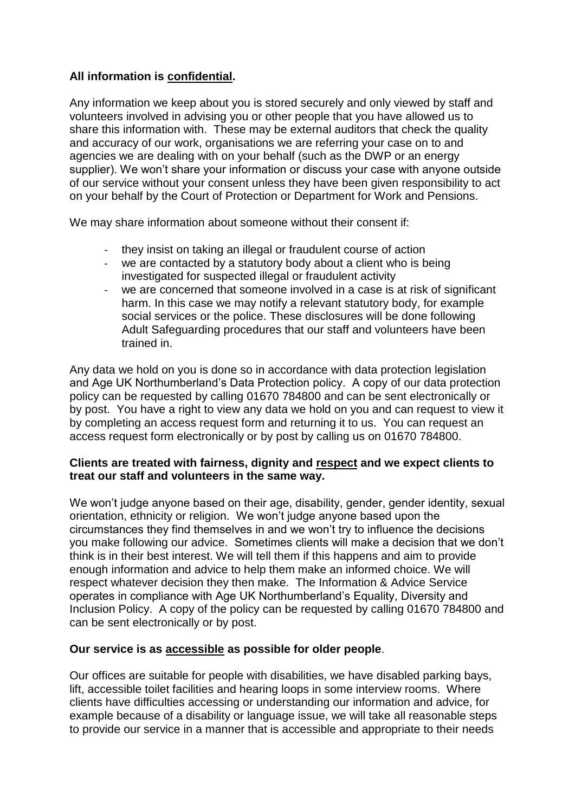# **All information is confidential.**

Any information we keep about you is stored securely and only viewed by staff and volunteers involved in advising you or other people that you have allowed us to share this information with. These may be external auditors that check the quality and accuracy of our work, organisations we are referring your case on to and agencies we are dealing with on your behalf (such as the DWP or an energy supplier). We won't share your information or discuss your case with anyone outside of our service without your consent unless they have been given responsibility to act on your behalf by the Court of Protection or Department for Work and Pensions.

We may share information about someone without their consent if:

- they insist on taking an illegal or fraudulent course of action
- we are contacted by a statutory body about a client who is being investigated for suspected illegal or fraudulent activity
- we are concerned that someone involved in a case is at risk of significant harm. In this case we may notify a relevant statutory body, for example social services or the police. These disclosures will be done following Adult Safeguarding procedures that our staff and volunteers have been trained in.

Any data we hold on you is done so in accordance with data protection legislation and Age UK Northumberland's Data Protection policy. A copy of our data protection policy can be requested by calling 01670 784800 and can be sent electronically or by post. You have a right to view any data we hold on you and can request to view it by completing an access request form and returning it to us. You can request an access request form electronically or by post by calling us on 01670 784800.

## **Clients are treated with fairness, dignity and respect and we expect clients to treat our staff and volunteers in the same way.**

We won't judge anyone based on their age, disability, gender, gender identity, sexual orientation, ethnicity or religion. We won't judge anyone based upon the circumstances they find themselves in and we won't try to influence the decisions you make following our advice. Sometimes clients will make a decision that we don't think is in their best interest. We will tell them if this happens and aim to provide enough information and advice to help them make an informed choice. We will respect whatever decision they then make. The Information & Advice Service operates in compliance with Age UK Northumberland's Equality, Diversity and Inclusion Policy. A copy of the policy can be requested by calling 01670 784800 and can be sent electronically or by post.

## **Our service is as accessible as possible for older people**.

Our offices are suitable for people with disabilities, we have disabled parking bays, lift, accessible toilet facilities and hearing loops in some interview rooms. Where clients have difficulties accessing or understanding our information and advice, for example because of a disability or language issue, we will take all reasonable steps to provide our service in a manner that is accessible and appropriate to their needs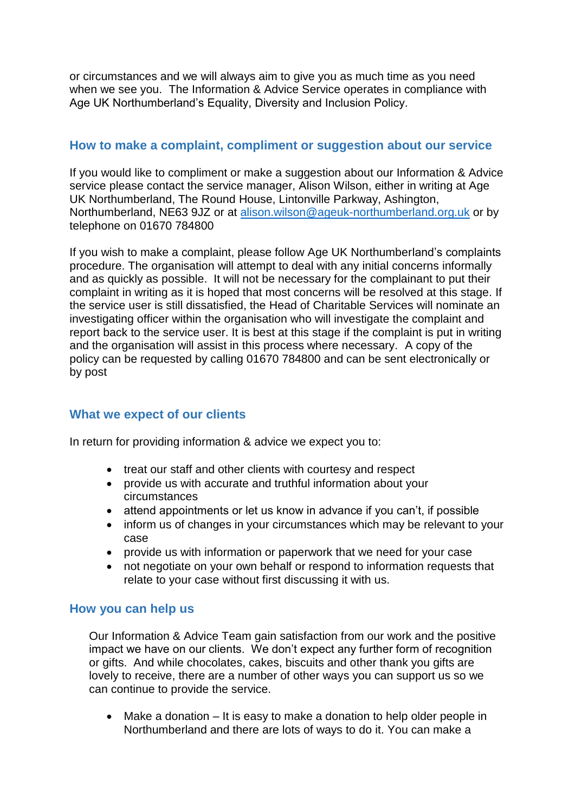or circumstances and we will always aim to give you as much time as you need when we see you. The Information & Advice Service operates in compliance with Age UK Northumberland's Equality, Diversity and Inclusion Policy.

# **How to make a complaint, compliment or suggestion about our service**

If you would like to compliment or make a suggestion about our Information & Advice service please contact the service manager, Alison Wilson, either in writing at Age UK Northumberland, The Round House, Lintonville Parkway, Ashington, Northumberland, NE63 9JZ or at [alison.wilson@ageuk-northumberland.org.uk](mailto:alison.wilson@ageuk-northumberland.org.uk) or by telephone on 01670 784800

If you wish to make a complaint, please follow Age UK Northumberland's complaints procedure. The organisation will attempt to deal with any initial concerns informally and as quickly as possible. It will not be necessary for the complainant to put their complaint in writing as it is hoped that most concerns will be resolved at this stage. If the service user is still dissatisfied, the Head of Charitable Services will nominate an investigating officer within the organisation who will investigate the complaint and report back to the service user. It is best at this stage if the complaint is put in writing and the organisation will assist in this process where necessary. A copy of the policy can be requested by calling 01670 784800 and can be sent electronically or by post

# **What we expect of our clients**

In return for providing information & advice we expect you to:

- treat our staff and other clients with courtesy and respect
- provide us with accurate and truthful information about your circumstances
- attend appointments or let us know in advance if you can't, if possible
- inform us of changes in your circumstances which may be relevant to your case
- provide us with information or paperwork that we need for your case
- not negotiate on your own behalf or respond to information requests that relate to your case without first discussing it with us.

## **How you can help us**

Our Information & Advice Team gain satisfaction from our work and the positive impact we have on our clients. We don't expect any further form of recognition or gifts. And while chocolates, cakes, biscuits and other thank you gifts are lovely to receive, there are a number of other ways you can support us so we can continue to provide the service.

• Make a donation – It is easy to make a donation to help older people in Northumberland and there are lots of ways to do it. You can make a